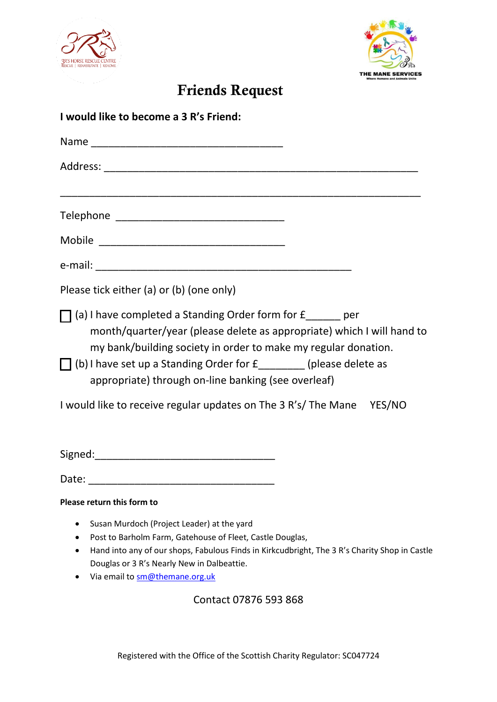



# **Friends Request**

| I would like to become a 3 R's Friend:                                                                                                                                                                                                                                                                                                                                                                                   |
|--------------------------------------------------------------------------------------------------------------------------------------------------------------------------------------------------------------------------------------------------------------------------------------------------------------------------------------------------------------------------------------------------------------------------|
|                                                                                                                                                                                                                                                                                                                                                                                                                          |
|                                                                                                                                                                                                                                                                                                                                                                                                                          |
| ,我们也不能在这里,我们也不能会在这里,我们也不能会在这里,我们也不能会在这里,我们也不能会不能会不能会。""我们,我们也不能会不能会不能会不能会不能会不能会不                                                                                                                                                                                                                                                                                                                                         |
|                                                                                                                                                                                                                                                                                                                                                                                                                          |
|                                                                                                                                                                                                                                                                                                                                                                                                                          |
| Please tick either (a) or (b) (one only)                                                                                                                                                                                                                                                                                                                                                                                 |
| $\Box$ (a) I have completed a Standing Order form for $f$ _______ per<br>month/quarter/year (please delete as appropriate) which I will hand to<br>my bank/building society in order to make my regular donation.<br>$\Box$ (b) I have set up a Standing Order for $f$ (please delete as<br>appropriate) through on-line banking (see overleaf)<br>I would like to receive regular updates on The 3 R's/ The Mane YES/NO |
| Date:                                                                                                                                                                                                                                                                                                                                                                                                                    |
| Please return this form to                                                                                                                                                                                                                                                                                                                                                                                               |
| Susan Murdoch (Project Leader) at the yard<br>٠<br>Post to Barholm Farm, Gatehouse of Fleet, Castle Douglas,<br>Hand into any of our shops, Fabulous Finds in Kirkcudbright, The 3 R's Charity Shop in Castle<br>Douglas or 3 R's Nearly New in Dalbeattie.                                                                                                                                                              |

• Via email t[o sm@themane.org.uk](mailto:sm@themane.org.uk)

Contact 07876 593 868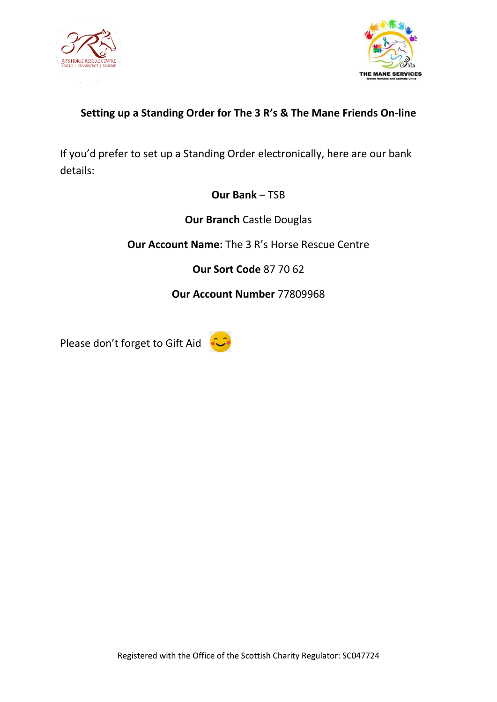

![](_page_1_Picture_1.jpeg)

# **Setting up a Standing Order for The 3 R's & The Mane Friends On-line**

If you'd prefer to set up a Standing Order electronically, here are our bank details:

## **Our Bank** – TSB

**Our Branch** Castle Douglas

**Our Account Name:** The 3 R's Horse Rescue Centre

**Our Sort Code** 87 70 62

**Our Account Number** 77809968

Please don't forget to Gift Aid

![](_page_1_Picture_10.jpeg)